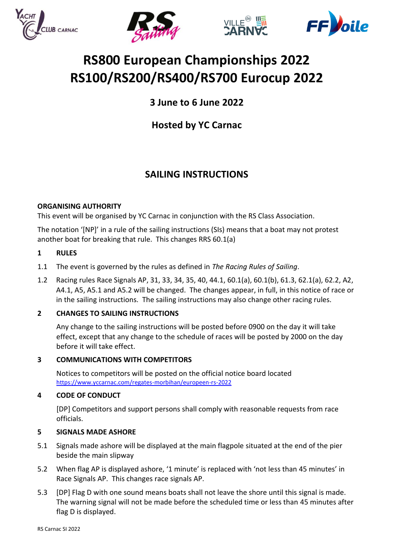







# **RS800 European Championships 2022 RS100/RS200/RS400/RS700 Eurocup 2022**

**3 June to 6 June 2022**

**Hosted by YC Carnac**

# **SAILING INSTRUCTIONS**

# **ORGANISING AUTHORITY**

This event will be organised by YC Carnac in conjunction with the RS Class Association.

The notation '[NP]' in a rule of the sailing instructions (SIs) means that a boat may not protest another boat for breaking that rule. This changes RRS 60.1(a)

# **1 RULES**

- 1.1 The event is governed by the rules as defined in *The Racing Rules of Sailing*.
- 1.2 Racing rules Race Signals AP, 31, 33, 34, 35, 40, 44.1, 60.1(a), 60.1(b), 61.3, 62.1(a), 62.2, A2, A4.1, A5, A5.1 and A5.2 will be changed. The changes appear, in full, in this notice of race or in the sailing instructions.The sailing instructions may also change other racing rules.

# **2 CHANGES TO SAILING INSTRUCTIONS**

Any change to the sailing instructions will be posted before 0900 on the day it will take effect, except that any change to the schedule of races will be posted by 2000 on the day before it will take effect.

# **3 COMMUNICATIONS WITH COMPETITORS**

Notices to competitors will be posted on the official notice board located <https://www.yccarnac.com/regates-morbihan/europeen-rs-2022>

# **4 CODE OF CONDUCT**

[DP] Competitors and support persons shall comply with reasonable requests from race officials.

# **5 SIGNALS MADE ASHORE**

- 5.1 Signals made ashore will be displayed at the main flagpole situated at the end of the pier beside the main slipway
- 5.2 When flag AP is displayed ashore, '1 minute' is replaced with 'not less than 45 minutes' in Race Signals AP. This changes race signals AP.
- 5.3 [DP] Flag D with one sound means boats shall not leave the shore until this signal is made. The warning signal will not be made before the scheduled time or less than 45 minutes after flag D is displayed.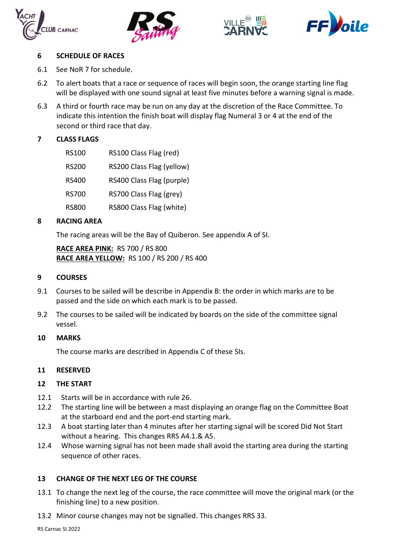







## **6 SCHEDULE OF RACES**

- 6.1 See NoR 7 for schedule.
- 6.2 To alert boats that a race or sequence of races will begin soon, the orange starting line flag will be displayed with one sound signal at least five minutes before a warning signal is made.
- 6.3 A third or fourth race may be run on any day at the discretion of the Race Committee. To indicate this intention the finish boat will display flag Numeral 3 or 4 at the end of the second or third race that day.

# **7 CLASS FLAGS**

- RS100 RS100 Class Flag (red)
- RS200 RS200 Class Flag (yellow)
- RS400 RS400 Class Flag (purple)
- RS700 RS700 Class Flag (grey)
- RS800 RS800 Class Flag (white)

# **8 RACING AREA**

The racing areas will be the Bay of Quiberon. See appendix A of SI.

**RACE AREA PINK:** RS 700 / RS 800 **RACE AREA YELLOW:** RS 100 / RS 200 / RS 400

#### **9 COURSES**

- 9.1 Courses to be sailed will be describe in Appendix B: the order in which marks are to be passed and the side on which each mark is to be passed.
- 9.2 The courses to be sailed will be indicated by boards on the side of the committee signal vessel.

### **10 MARKS**

The course marks are described in Appendix C of these SIs.

### **11 RESERVED**

### **12 THE START**

- 12.1 Starts will be in accordance with rule 26.
- 12.2 The starting line will be between a mast displaying an orange flag on the Committee Boat at the starboard end and the port-end starting mark.
- 12.3 A boat starting later than 4 minutes after her starting signal will be scored Did Not Start without a hearing. This changes RRS A4.1.& A5.
- 12.4 Whose warning signal has not been made shall avoid the starting area during the starting sequence of other races.

# **13 CHANGE OF THE NEXT LEG OF THE COURSE**

- 13.1 To change the next leg of the course, the race committee will move the original mark (or the finishing line) to a new position.
- 13.2 Minor course changes may not be signalled. This changes RRS 33.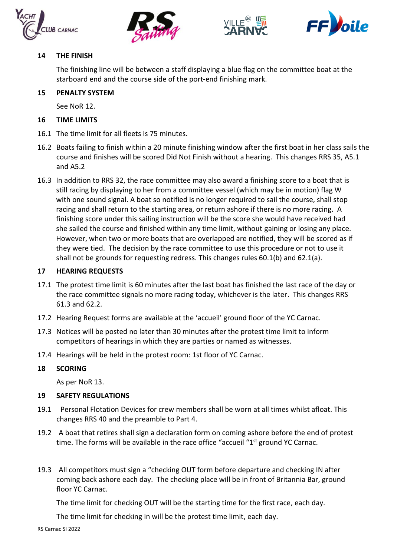







# **14 THE FINISH**

The finishing line will be between a staff displaying a blue flag on the committee boat at the starboard end and the course side of the port-end finishing mark.

# **15 PENALTY SYSTEM**

See NoR 12.

# **16 TIME LIMITS**

- 16.1 The time limit for all fleets is 75 minutes.
- 16.2 Boats failing to finish within a 20 minute finishing window after the first boat in her class sails the course and finishes will be scored Did Not Finish without a hearing. This changes RRS 35, A5.1 and A5.2
- 16.3 In addition to RRS 32, the race committee may also award a finishing score to a boat that is still racing by displaying to her from a committee vessel (which may be in motion) flag W with one sound signal. A boat so notified is no longer required to sail the course, shall stop racing and shall return to the starting area, or return ashore if there is no more racing. A finishing score under this sailing instruction will be the score she would have received had she sailed the course and finished within any time limit, without gaining or losing any place. However, when two or more boats that are overlapped are notified, they will be scored as if they were tied. The decision by the race committee to use this procedure or not to use it shall not be grounds for requesting redress. This changes rules 60.1(b) and 62.1(a).

# **17 HEARING REQUESTS**

- 17.1 The protest time limit is 60 minutes after the last boat has finished the last race of the day or the race committee signals no more racing today, whichever is the later. This changes RRS 61.3 and 62.2.
- 17.2 Hearing Request forms are available at the 'accueil' ground floor of the YC Carnac.
- 17.3 Notices will be posted no later than 30 minutes after the protest time limit to inform competitors of hearings in which they are parties or named as witnesses.
- 17.4 Hearings will be held in the protest room: 1st floor of YC Carnac.

### **18 SCORING**

As per NoR 13.

### **19 SAFETY REGULATIONS**

- 19.1 Personal Flotation Devices for crew members shall be worn at all times whilst afloat. This changes RRS 40 and the preamble to Part 4.
- 19.2 A boat that retires shall sign a declaration form on coming ashore before the end of protest time. The forms will be available in the race office "accueil "1<sup>st</sup> ground YC Carnac.
- 19.3 All competitors must sign a "checking OUT form before departure and checking IN after coming back ashore each day. The checking place will be in front of Britannia Bar, ground floor YC Carnac.

The time limit for checking OUT will be the starting time for the first race, each day.

The time limit for checking in will be the protest time limit, each day.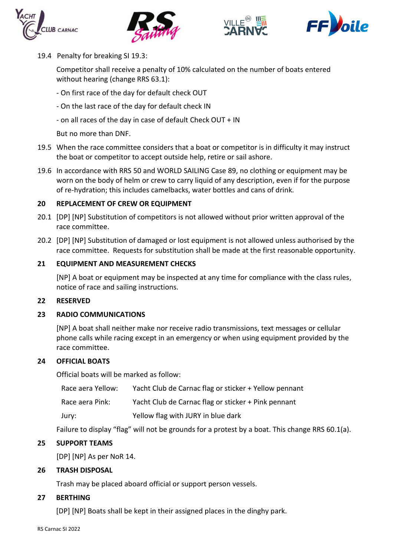







19.4 Penalty for breaking SI 19.3:

Competitor shall receive a penalty of 10% calculated on the number of boats entered without hearing (change RRS 63.1):

- On first race of the day for default check OUT
- On the last race of the day for default check IN
- on all races of the day in case of default Check OUT + IN

But no more than DNF.

- 19.5 When the race committee considers that a boat or competitor is in difficulty it may instruct the boat or competitor to accept outside help, retire or sail ashore.
- 19.6 In accordance with RRS 50 and WORLD SAILING Case 89, no clothing or equipment may be worn on the body of helm or crew to carry liquid of any description, even if for the purpose of re-hydration; this includes camelbacks, water bottles and cans of drink.

### **20 REPLACEMENT OF CREW OR EQUIPMENT**

- 20.1 [DP] [NP] Substitution of competitors is not allowed without prior written approval of the race committee.
- 20.2 [DP] [NP] Substitution of damaged or lost equipment is not allowed unless authorised by the race committee. Requests for substitution shall be made at the first reasonable opportunity.

### **21 EQUIPMENT AND MEASUREMENT CHECKS**

[NP] A boat or equipment may be inspected at any time for compliance with the class rules, notice of race and sailing instructions.

#### **22 RESERVED**

## **23 RADIO COMMUNICATIONS**

[NP] A boat shall neither make nor receive radio transmissions, text messages or cellular phone calls while racing except in an emergency or when using equipment provided by the race committee.

### **24 OFFICIAL BOATS**

Official boats will be marked as follow:

| Race aera Yellow: | Yacht Club de Carnac flag or sticker + Yellow pennant |
|-------------------|-------------------------------------------------------|
| Race aera Pink:   | Yacht Club de Carnac flag or sticker + Pink pennant   |
| Jury:             | Yellow flag with JURY in blue dark                    |

Failure to display "flag" will not be grounds for a protest by a boat. This change RRS 60.1(a).

### **25 SUPPORT TEAMS**

[DP] [NP] As per NoR 14.

### **26 TRASH DISPOSAL**

Trash may be placed aboard official or support person vessels.

### **27 BERTHING**

[DP] [NP] Boats shall be kept in their assigned places in the dinghy park.